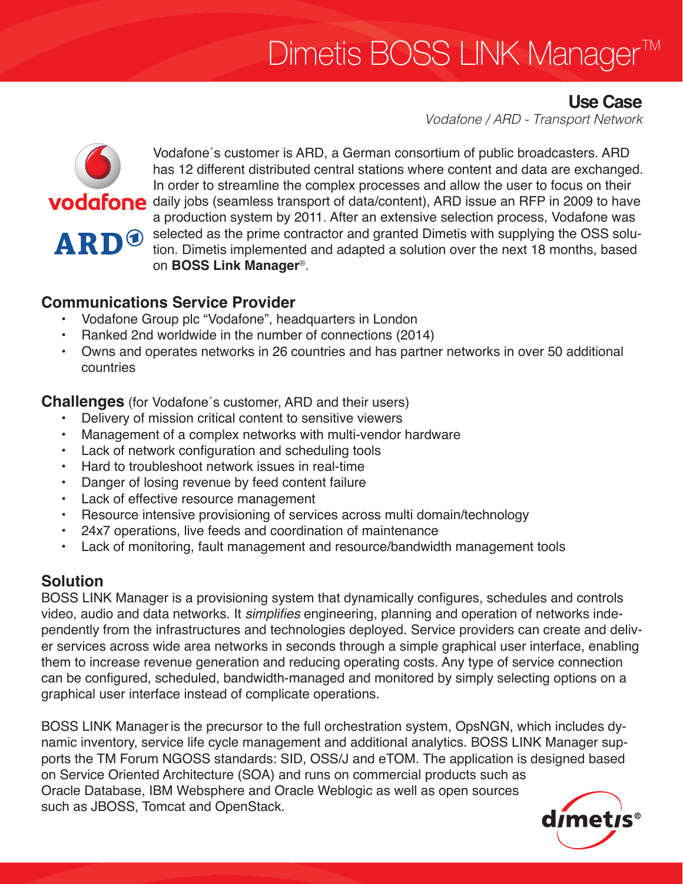# Dimetis BOSS LINK Manager TM

## **Use Case**

*Vodafone / ARD - Transport Network*



Vodafone´s customer is ARD, a German consortium of public broadcasters. ARD has 12 different distributed central stations where content and data are exchanged. In order to streamline the complex processes and allow the user to focus on their **VOdafone** daily jobs (seamless transport of data/content), ARD issue an RFP in 2009 to have a production system by 2011. After an extensive selection process, Vodafone was selected as the prime contractor and granted Dimetis with supplying the OSS solution. Dimetis implemented and adapted a solution over the next 18 months, based on **BOSS Link Manager**®.

## **Communications Service Provider**

- Vodafone Group plc "Vodafone", headquarters in London
- Ranked 2nd worldwide in the number of connections (2014)
- Owns and operates networks in 26 countries and has partner networks in over 50 additional countries

**Challenges** (for Vodafone´s customer, ARD and their users)

- Delivery of mission critical content to sensitive viewers
- Management of a complex networks with multi-vendor hardware
- Lack of network configuration and scheduling tools
- Hard to troubleshoot network issues in real-time
- Danger of losing revenue by feed content failure
- • Lack of effective resource management
- Resource intensive provisioning of services across multi domain/technology
- 24x7 operations, live feeds and coordination of maintenance
- Lack of monitoring, fault management and resource/bandwidth management tools

## **Solution**

BOSS LINK Manager is a provisioning system that dynamically configures, schedules and controls video, audio and data networks. It simplifies engineering, planning and operation of networks independently from the infrastructures and technologies deployed. Service providers can create and deliver services across wide area networks in seconds through a simple graphical user interface, enabling them to increase revenue generation and reducing operating costs. Any type of service connection can be configured, scheduled, bandwidth-managed and monitored by simply selecting options on a graphical user interface instead of complicate operations.

BOSS LINK Manageris the precursor to the full orchestration system, OpsNGN, which includes dynamic inventory, service life cycle management and additional analytics. BOSS LINK Manager supports the TM Forum NGOSS standards: SID, OSS/J and eTOM. The application is designed based on Service Oriented Architecture (SOA) and runs on commercial products such as Oracle Database, IBM Websphere and Oracle Weblogic as well as open sources such as JBOSS, Tomcat and OpenStack.

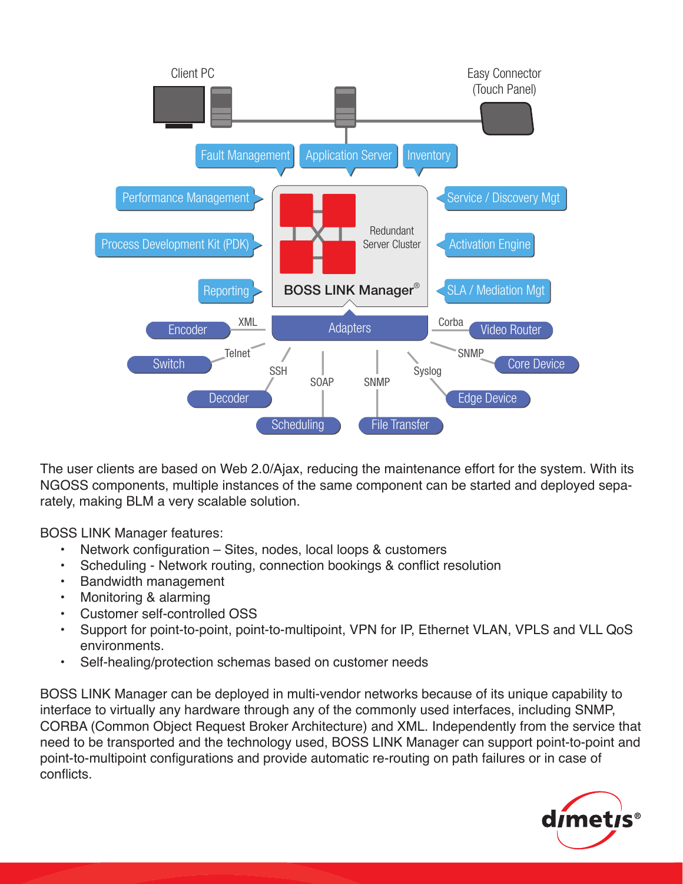

The user clients are based on Web 2.0/Ajax, reducing the maintenance effort for the system. With its NGOSS components, multiple instances of the same component can be started and deployed separately, making BLM a very scalable solution.

BOSS LINK Manager features:

- Network configuration Sites, nodes, local loops & customers
- Scheduling Network routing, connection bookings & conflict resolution
- **Bandwidth management**
- • Monitoring & alarming
- Customer self-controlled OSS
- Support for point-to-point, point-to-multipoint, VPN for IP, Ethernet VLAN, VPLS and VLL QoS environments.
- Self-healing/protection schemas based on customer needs

BOSS LINK Manager can be deployed in multi-vendor networks because of its unique capability to interface to virtually any hardware through any of the commonly used interfaces, including SNMP, CORBA (Common Object Request Broker Architecture) and XML. Independently from the service that need to be transported and the technology used, BOSS LINK Manager can support point-to-point and point-to-multipoint configurations and provide automatic re-routing on path failures or in case of conflicts.